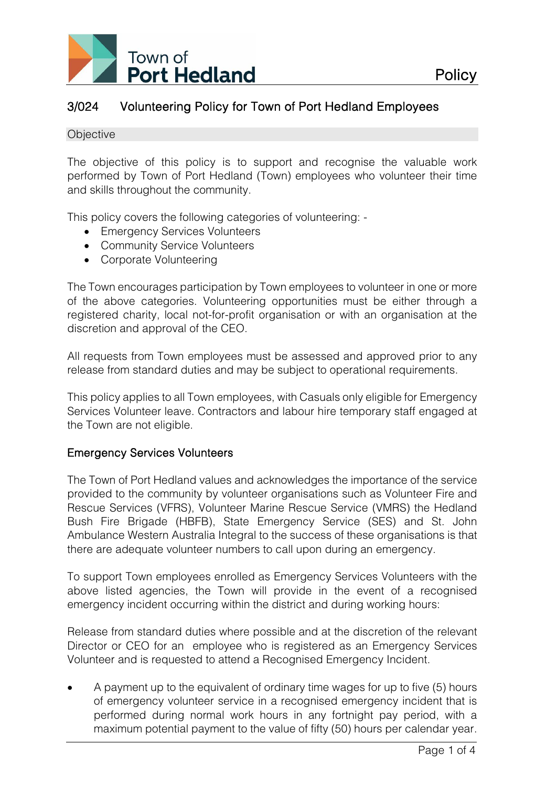

# 3/024 Volunteering Policy for Town of Port Hedland Employees

#### **Objective**

The objective of this policy is to support and recognise the valuable work performed by Town of Port Hedland (Town) employees who volunteer their time and skills throughout the community.

This policy covers the following categories of volunteering: -

- Emergency Services Volunteers
- Community Service Volunteers
- Corporate Volunteering

The Town encourages participation by Town employees to volunteer in one or more of the above categories. Volunteering opportunities must be either through a registered charity, local not-for-profit organisation or with an organisation at the discretion and approval of the CEO.

All requests from Town employees must be assessed and approved prior to any release from standard duties and may be subject to operational requirements.

This policy applies to all Town employees, with Casuals only eligible for Emergency Services Volunteer leave. Contractors and labour hire temporary staff engaged at the Town are not eligible.

## Emergency Services Volunteers

The Town of Port Hedland values and acknowledges the importance of the service provided to the community by volunteer organisations such as Volunteer Fire and Rescue Services (VFRS), Volunteer Marine Rescue Service (VMRS) the Hedland Bush Fire Brigade (HBFB), State Emergency Service (SES) and St. John Ambulance Western Australia Integral to the success of these organisations is that there are adequate volunteer numbers to call upon during an emergency.

To support Town employees enrolled as Emergency Services Volunteers with the above listed agencies, the Town will provide in the event of a recognised emergency incident occurring within the district and during working hours:

Release from standard duties where possible and at the discretion of the relevant Director or CEO for an employee who is registered as an Emergency Services Volunteer and is requested to attend a Recognised Emergency Incident.

• A payment up to the equivalent of ordinary time wages for up to five (5) hours of emergency volunteer service in a recognised emergency incident that is performed during normal work hours in any fortnight pay period, with a maximum potential payment to the value of fifty (50) hours per calendar year.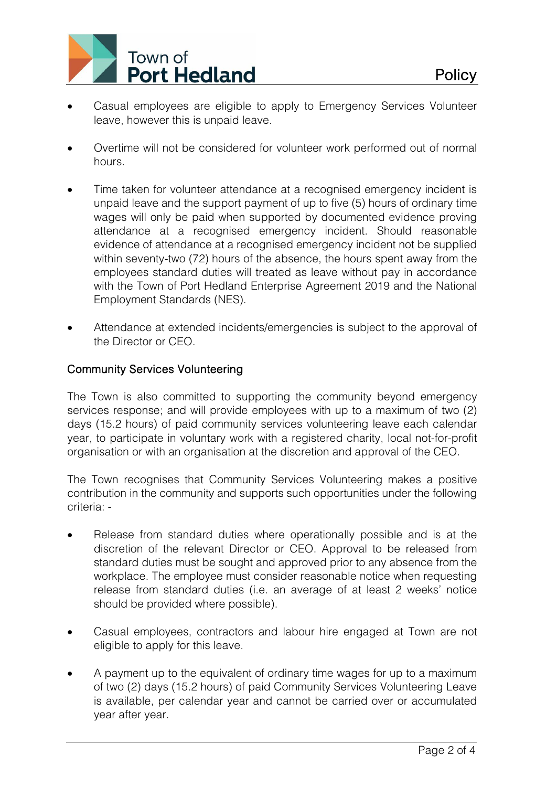

- Casual employees are eligible to apply to Emergency Services Volunteer leave, however this is unpaid leave.
- Overtime will not be considered for volunteer work performed out of normal hours.
- Time taken for volunteer attendance at a recognised emergency incident is unpaid leave and the support payment of up to five (5) hours of ordinary time wages will only be paid when supported by documented evidence proving attendance at a recognised emergency incident. Should reasonable evidence of attendance at a recognised emergency incident not be supplied within seventy-two (72) hours of the absence, the hours spent away from the employees standard duties will treated as leave without pay in accordance with the Town of Port Hedland Enterprise Agreement 2019 and the National Employment Standards (NES).
- Attendance at extended incidents/emergencies is subject to the approval of the Director or CEO.

# Community Services Volunteering

The Town is also committed to supporting the community beyond emergency services response; and will provide employees with up to a maximum of two (2) days (15.2 hours) of paid community services volunteering leave each calendar year, to participate in voluntary work with a registered charity, local not-for-profit organisation or with an organisation at the discretion and approval of the CEO.

The Town recognises that Community Services Volunteering makes a positive contribution in the community and supports such opportunities under the following criteria: -

- Release from standard duties where operationally possible and is at the discretion of the relevant Director or CEO. Approval to be released from standard duties must be sought and approved prior to any absence from the workplace. The employee must consider reasonable notice when requesting release from standard duties (i.e. an average of at least 2 weeks' notice should be provided where possible).
- Casual employees, contractors and labour hire engaged at Town are not eligible to apply for this leave.
- A payment up to the equivalent of ordinary time wages for up to a maximum of two (2) days (15.2 hours) of paid Community Services Volunteering Leave is available, per calendar year and cannot be carried over or accumulated year after year.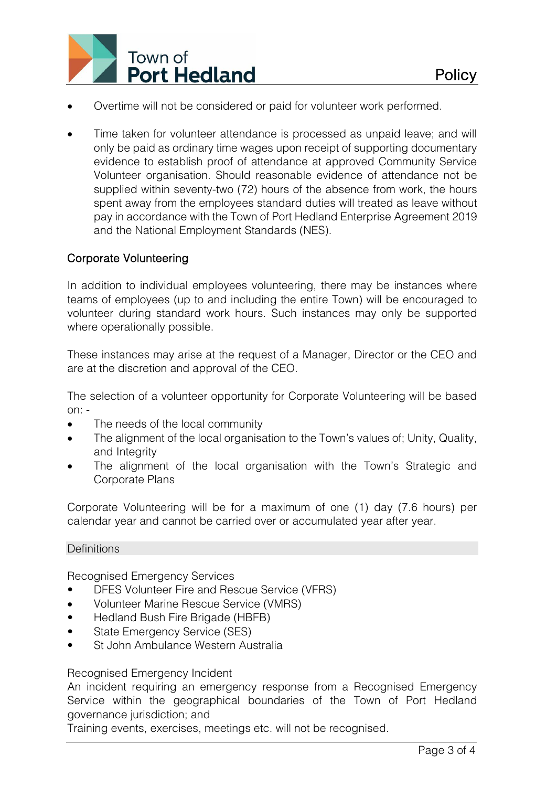

- Overtime will not be considered or paid for volunteer work performed.
- Time taken for volunteer attendance is processed as unpaid leave; and will only be paid as ordinary time wages upon receipt of supporting documentary evidence to establish proof of attendance at approved Community Service Volunteer organisation. Should reasonable evidence of attendance not be supplied within seventy-two (72) hours of the absence from work, the hours spent away from the employees standard duties will treated as leave without pay in accordance with the Town of Port Hedland Enterprise Agreement 2019 and the National Employment Standards (NES).

## Corporate Volunteering

In addition to individual employees volunteering, there may be instances where teams of employees (up to and including the entire Town) will be encouraged to volunteer during standard work hours. Such instances may only be supported where operationally possible.

These instances may arise at the request of a Manager, Director or the CEO and are at the discretion and approval of the CEO.

The selection of a volunteer opportunity for Corporate Volunteering will be based  $on: -$ 

- The needs of the local community
- The alignment of the local organisation to the Town's values of; Unity, Quality, and Integrity
- The alignment of the local organisation with the Town's Strategic and Corporate Plans

Corporate Volunteering will be for a maximum of one (1) day (7.6 hours) per calendar year and cannot be carried over or accumulated year after year.

### **Definitions**

Recognised Emergency Services

- DFES Volunteer Fire and Rescue Service (VFRS)
- Volunteer Marine Rescue Service (VMRS)
- Hedland Bush Fire Brigade (HBFB)
- State Emergency Service (SES)
- St John Ambulance Western Australia

### Recognised Emergency Incident

An incident requiring an emergency response from a Recognised Emergency Service within the geographical boundaries of the Town of Port Hedland governance jurisdiction; and

Training events, exercises, meetings etc. will not be recognised.